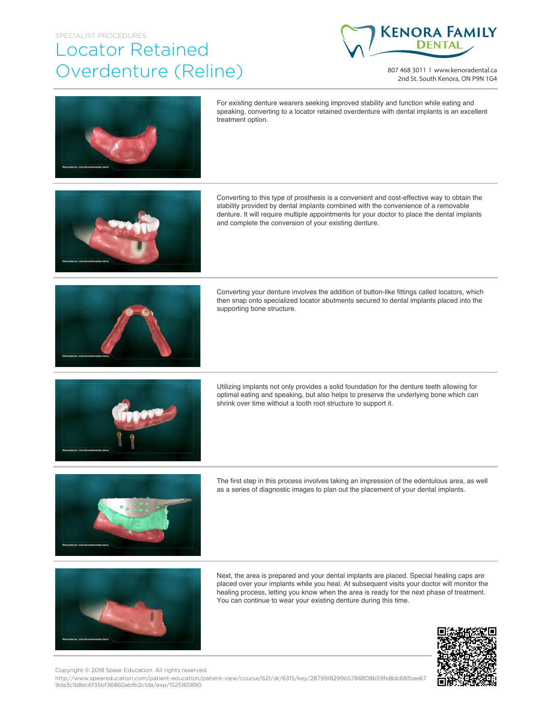## SPECIALIST PROCEDURES Locator Retained Overdenture (Reline)



807 468 3011 | www.kenoradental.ca 2nd St. South Kenora, ON P9N 1G4



For existing denture wearers seeking improved stability and function while eating and speaking, converting to a locator retained overdenture with dental implants is an excellent treatment option.



Converting to this type of prosthesis is a convenient and cost-effective way to obtain the stability provided by dental implants combined with the convenience of a removable denture. It will require multiple appointments for your doctor to place the dental implants and complete the conversion of your existing denture.



Converting your denture involves the addition of button-like fittings called locators, which then snap onto specialized locator abutments secured to dental implants placed into the supporting bone structure.



Utilizing implants not only provides a solid foundation for the denture teeth allowing for optimal eating and speaking, but also helps to preserve the underlying bone which can shrink over time without a tooth root structure to support it.



The first step in this process involves taking an impression of the edentulous area, as well as a series of diagnostic images to plan out the placement of your dental implants.



Next, the area is prepared and your dental implants are placed. Special healing caps are placed over your implants while you heal. At subsequent visits your doctor will monitor the healing process, letting you know when the area is ready for the next phase of treatment. You can continue to wear your existing denture during this time.



Copyright © 2018 Spear Education. All rights reserved.

http://www.speareducation.com/patient-education/patient-view/course/621/dr/6315/key/2879918299b5788808b59fe8bb68fbae67 9da3c1b8ec6f35bf36860abfb2c1da/exp/1525165890